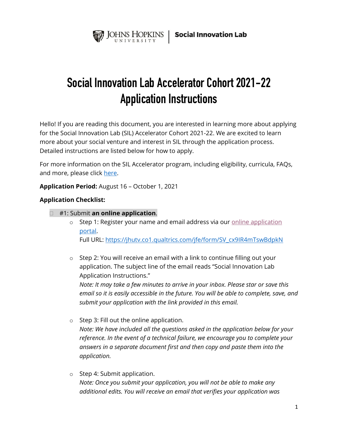

# **Social Innovation Lab Accelerator Cohort 2021-22 Application Instructions**

Hello! If you are reading this document, you are interested in learning more about applying for the Social Innovation Lab (SIL) Accelerator Cohort 2021-22. We are excited to learn more about your social venture and interest in SIL through the application process. Detailed instructions are listed below for how to apply.

For more information on the SIL Accelerator program, including eligibility, curricula, FAQs, and more, please click [here.](https://ventures.jhu.edu/programs-services/social-innovation-lab/sil-apply/)

**Application Period:** August 16 – October 1, 2021

#### **Application Checklist:**

- #1: Submit **an online application**.
	- $\circ$  Step 1: Register your name and email address via our [online application](https://jhutv.co1.qualtrics.com/jfe/form/SV_cx9IR4mTswBdpkN) portal. Full URL: [https://jhutv.co1.qualtrics.com/jfe/form/SV\\_cx9IR4mTswBdpkN](https://jhutv.co1.qualtrics.com/jfe/form/SV_cx9IR4mTswBdpkN)
	- o Step 2: You will receive an email with a link to continue filling out your application. The subject line of the email reads "Social Innovation Lab Application Instructions."

*Note: It may take a few minutes to arrive in your inbox. Please star or save this email so it is easily accessible in the future. You will be able to complete, save, and submit your application with the link provided in this email.* 

- o Step 3: Fill out the online application. *Note: We have included all the questions asked in the application below for your reference. In the event of a technical failure, we encourage you to complete your answers in a separate document first and then copy and paste them into the application.*
- o Step 4: Submit application. *Note: Once you submit your application, you will not be able to make any additional edits. You will receive an email that verifies your application was*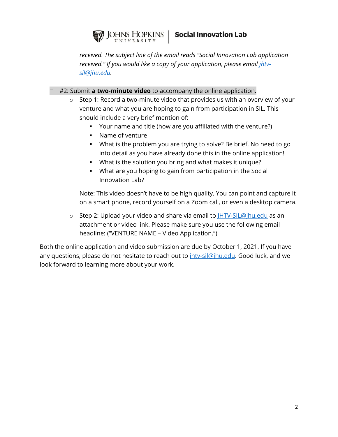

*received. The subject line of the email reads "Social Innovation Lab application* received." If you would like a copy of your application, please email *jhtv[sil@jhu.edu.](mailto:jhtv-sil@jhu.edu)* 

#2: Submit **a two-minute video** to accompany the online application.

- o Step 1: Record a two-minute video that provides us with an overview of your venture and what you are hoping to gain from participation in SIL. This should include a very brief mention of:
	- Your name and title (how are you affiliated with the venture?)
	- Name of venture
	- What is the problem you are trying to solve? Be brief. No need to go into detail as you have already done this in the online application!
	- What is the solution you bring and what makes it unique?
	- What are you hoping to gain from participation in the Social Innovation Lab?

Note: This video doesn't have to be high quality. You can point and capture it on a smart phone, record yourself on a Zoom call, or even a desktop camera.

o Step 2: Upload your video and share via email to **HTV-SIL@jhu.edu** as an attachment or video link. Please make sure you use the following email headline: ("VENTURE NAME – Video Application.")

Both the online application and video submission are due by October 1, 2021. If you have any questions, please do not hesitate to reach out to *ihtv-sil@jhu.edu*. Good luck, and we look forward to learning more about your work.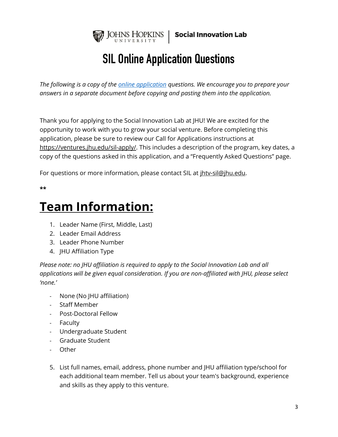

# **SIL Online Application Questions**

*The following is a copy of the [online application](https://jhutv.co1.qualtrics.com/jfe/form/SV_cx9IR4mTswBdpkN) questions. We encourage you to prepare your answers in a separate document before copying and pasting them into the application.* 

Thank you for applying to the Social Innovation Lab at JHU! We are excited for the opportunity to work with you to grow your social venture. Before completing this application, please be sure to review our Call for Applications instructions at [https://ventures.jhu.edu/sil-apply/.](https://ventures.jhu.edu/sil-apply/) This includes a description of the program, key dates, a copy of the questions asked in this application, and a "Frequently Asked Questions" page.

For questions or more information, please contact SIL at  $ifhtv-sil@ihu.edu.$ </u>

**\*\***

# **Team Information:**

- 1. Leader Name (First, Middle, Last)
- 2. Leader Email Address
- 3. Leader Phone Number
- 4. JHU Affiliation Type

*Please note: no JHU affiliation is required to apply to the Social Innovation Lab and all applications will be given equal consideration. If you are non-affiliated with JHU, please select 'none.'*

- None (No JHU affiliation)
- Staff Member
- Post-Doctoral Fellow
- Faculty
- Undergraduate Student
- Graduate Student
- Other
- 5. List full names, email, address, phone number and JHU affiliation type/school for each additional team member. Tell us about your team's background, experience and skills as they apply to this venture.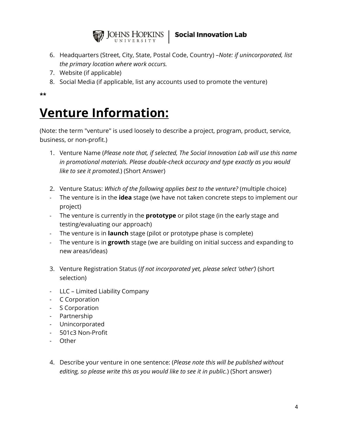

- 6. Headquarters (Street, City, State, Postal Code, Country) –*Note: if unincorporated, list the primary location where work occurs.*
- 7. Website (if applicable)
- 8. Social Media (if applicable, list any accounts used to promote the venture)

**\*\***

# **Venture Information:**

(Note: the term "venture" is used loosely to describe a project, program, product, service, business, or non-profit.)

- 1. Venture Name (*Please note that, if selected, The Social Innovation Lab will use this name in promotional materials. Please double-check accuracy and type exactly as you would like to see it promoted.*) (Short Answer)
- 2. Venture Status: *Which of the following applies best to the venture?* (multiple choice)
- The venture is in the **idea** stage (we have not taken concrete steps to implement our project)
- The venture is currently in the **prototype** or pilot stage (in the early stage and testing/evaluating our approach)
- The venture is in **launch** stage (pilot or prototype phase is complete)
- The venture is in **growth** stage (we are building on initial success and expanding to new areas/ideas)
- 3. Venture Registration Status (*If not incorporated yet, please select 'other')* (short selection)
- LLC Limited Liability Company
- C Corporation
- S Corporation
- Partnership
- Unincorporated
- 501c3 Non-Profit
- Other
- 4. Describe your venture in one sentence: (*Please note this will be published without editing, so please write this as you would like to see it in public.*) (Short answer)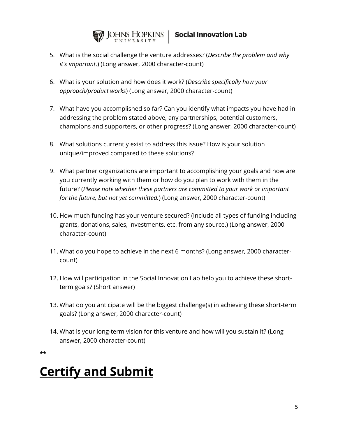

- 5. What is the social challenge the venture addresses? (*Describe the problem and why it's important*.) (Long answer, 2000 character-count)
- 6. What is your solution and how does it work? (*Describe specifically how your approach/product works*) (Long answer, 2000 character-count)
- 7. What have you accomplished so far? Can you identify what impacts you have had in addressing the problem stated above, any partnerships, potential customers, champions and supporters, or other progress? (Long answer, 2000 character-count)
- 8. What solutions currently exist to address this issue? How is your solution unique/improved compared to these solutions?
- 9. What partner organizations are important to accomplishing your goals and how are you currently working with them or how do you plan to work with them in the future? (*Please note whether these partners are committed to your work or important for the future, but not yet committed.*) (Long answer, 2000 character-count)
- 10. How much funding has your venture secured? (Include all types of funding including grants, donations, sales, investments, etc. from any source.) (Long answer, 2000 character-count)
- 11. What do you hope to achieve in the next 6 months? (Long answer, 2000 charactercount)
- 12. How will participation in the Social Innovation Lab help you to achieve these shortterm goals? (Short answer)
- 13. What do you anticipate will be the biggest challenge(s) in achieving these short-term goals? (Long answer, 2000 character-count)
- 14. What is your long-term vision for this venture and how will you sustain it? (Long answer, 2000 character-count)

**\*\***

# **Certify and Submit**